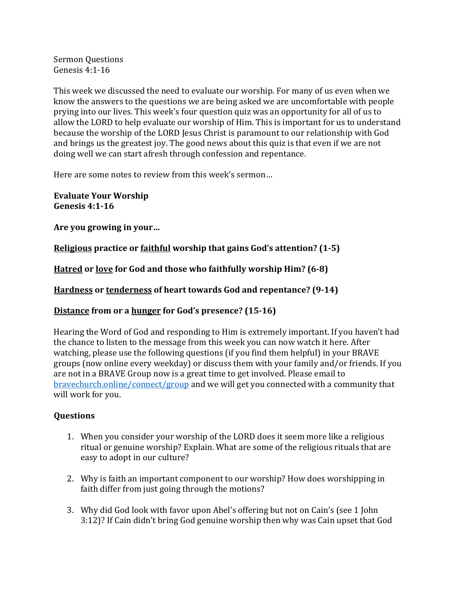Sermon Questions Genesis 4:1-16

This week we discussed the need to evaluate our worship. For many of us even when we know the answers to the questions we are being asked we are uncomfortable with people prying into our lives. This week's four question quiz was an opportunity for all of us to allow the LORD to help evaluate our worship of Him. This is important for us to understand because the worship of the LORD Jesus Christ is paramount to our relationship with God and brings us the greatest joy. The good news about this quiz is that even if we are not doing well we can start afresh through confession and repentance.

Here are some notes to review from this week's sermon...

**Evaluate Your Worship Genesis 4:1-16**

Are you growing in your...

**Religious** practice or faithful worship that gains God's attention? (1-5)

**Hatred** or <u>love</u> for God and those who faithfully worship Him? (6-8)

**Hardness** or **tenderness** of heart towards God and repentance? (9-14)

## **Distance from or a hunger for God's presence?** (15-16)

Hearing the Word of God and responding to Him is extremely important. If you haven't had the chance to listen to the message from this week you can now watch it here. After watching, please use the following questions (if you find them helpful) in your BRAVE groups (now online every weekday) or discuss them with your family and/or friends. If you are not in a BRAVE Group now is a great time to get involved. Please email to bravechurch.online/connect/group and we will get you connected with a community that will work for you.

## **Questions**

- 1. When you consider your worship of the LORD does it seem more like a religious ritual or genuine worship? Explain. What are some of the religious rituals that are easy to adopt in our culture?
- 2. Why is faith an important component to our worship? How does worshipping in faith differ from just going through the motions?
- 3. Why did God look with favor upon Abel's offering but not on Cain's (see 1 John 3:12)? If Cain didn't bring God genuine worship then why was Cain upset that God